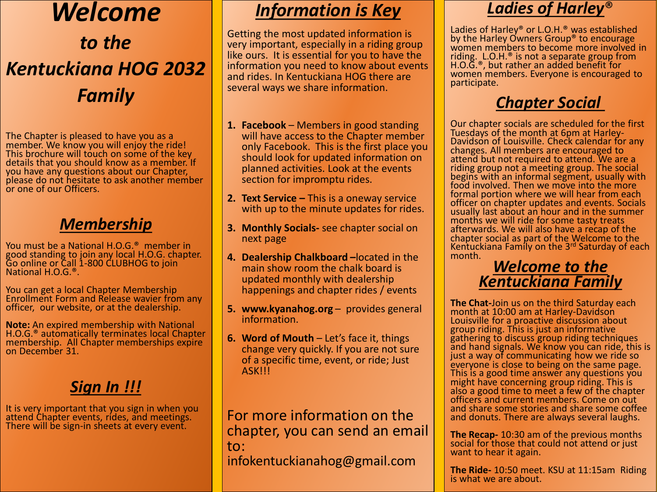# *Welcome to the Kentuckiana HOG 2032 Family*

The Chapter is pleased to have you as a member. We know you will enjoy the ride! This brochure will touch on some of the key details that you should know as a member. If you have any questions about our Chapter, please do not hesitate to ask another member or one of our Officers.

#### *Membership*

You must be a National H.O.G.® member in good standing to join any local H.O.G. chapter. Go online or Call 1-800 CLUBHOG to join National H.O.G.®.

You can get a local Chapter Membership Enrollment Form and Release wavier from any officer, our website, or at the dealership.

**Note:** An expired membership with National H.O.G.® automatically terminates local Chapter membership. All Chapter memberships expire on December 31.

#### *Sign In !!!*

It is very important that you sign in when you attend Chapter events, rides, and meetings. There will be sign-in sheets at every event.

### *Information is Key*

Getting the most updated information is very important, especially in a riding group like ours. It is essential for you to have the information you need to know about events and rides. In Kentuckiana HOG there are several ways we share information.

- **1. Facebook** Members in good standing will have access to the Chapter member only Facebook. This is the first place you should look for updated information on planned activities. Look at the events section for impromptu rides.
- **2. Text Service –** This is a oneway service with up to the minute updates for rides.
- **3. Monthly Socials-** see chapter social on next page
- **4. Dealership Chalkboard –**located in the main show room the chalk board is updated monthly with dealership happenings and chapter rides / events
- **5. www.kyanahog.org** provides general information.
- **6. Word of Mouth** Let's face it, things change very quickly. If you are not sure of a specific time, event, or ride; Just ASK!!!

For more information on the chapter, you can send an email to: infokentuckianahog@gmail.com

#### *Ladies of Harley*®

Ladies of Harley® or L.O.H.® was established by the Harley Owners Group® to encourage women members to become more involved in riding. L.O.H.® is not a separate group from H.O.G.®, but rather an added benefit for women members. Everyone is encouraged to participate.

#### *Chapter Social*

Our chapter socials are scheduled for the first Tuesdays of the month at 6pm at Harley-Davidson of Louisville. Check calendar for any changes. All members are encouraged to attend but not required to attend. We are a riding group not a meeting group. The social begins with an informal segment, usually with food involved. Then we move into the more formal portion where we will hear from each officer on chapter updates and events. Socials usually last about an hour and in the summer months we will ride for some tasty treats afterwards. We will also have a recap of the chapter social as part of the Welcome to the Kentuckiana Family on the 3rd Saturday of each month.

#### *Welcome to the Kentuckiana Family*

**The Chat-**Join us on the third Saturday each month at 10:00 am at Harley-Davidson Louisville for a proactive discussion about group riding. This is just an informative gathering to discuss group riding techniques and hand signals. We know you can ride, this is just a way of communicating how we ride so everyone is close to being on the same page. This is a good time answer any questions you might have concerning group riding. This is also a good time to meet a few of the chapter officers and current members. Come on out and share some stories and share some coffee and donuts. There are always several laughs.

**The Recap-** 10:30 am of the previous months social for those that could not attend or just want to hear it again.

**The Ride-** 10:50 meet. KSU at 11:15am Riding is what we are about.